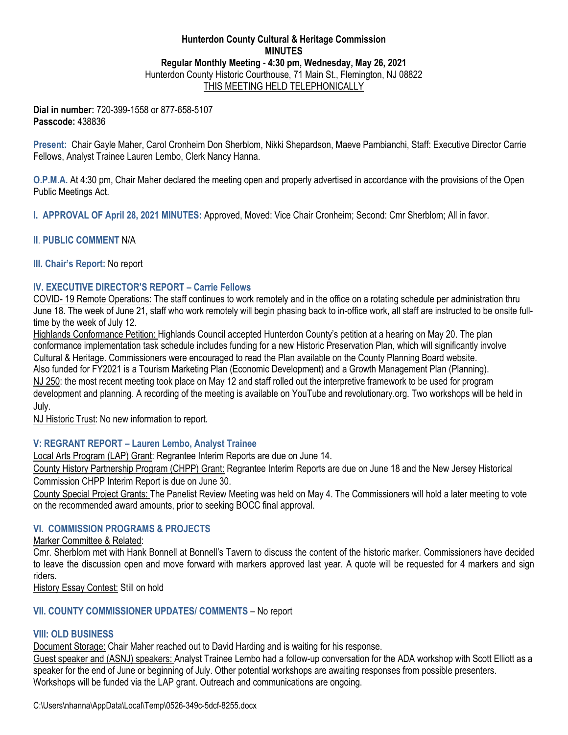## **Hunterdon County Cultural & Heritage Commission MINUTES Regular Monthly Meeting - 4:30 pm, Wednesday, May 26, 2021**  Hunterdon County Historic Courthouse, 71 Main St., Flemington, NJ 08822 THIS MEETING HELD TELEPHONICALLY

**Dial in number:** 720-399-1558 or 877-658-5107 **Passcode:** 438836

**Present:** Chair Gayle Maher, Carol Cronheim Don Sherblom, Nikki Shepardson, Maeve Pambianchi, Staff: Executive Director Carrie Fellows, Analyst Trainee Lauren Lembo, Clerk Nancy Hanna.

**O.P.M.A.** At 4:30 pm, Chair Maher declared the meeting open and properly advertised in accordance with the provisions of the Open Public Meetings Act.

**I. APPROVAL OF April 28, 2021 MINUTES:** Approved, Moved: Vice Chair Cronheim; Second: Cmr Sherblom; All in favor.

## **II**. **PUBLIC COMMENT** N/A

#### **III. Chair's Report:** No report

# **IV. EXECUTIVE DIRECTOR'S REPORT – Carrie Fellows**

COVID- 19 Remote Operations: The staff continues to work remotely and in the office on a rotating schedule per administration thru June 18. The week of June 21, staff who work remotely will begin phasing back to in-office work, all staff are instructed to be onsite fulltime by the week of July 12.

Highlands Conformance Petition: Highlands Council accepted Hunterdon County's petition at a hearing on May 20. The plan conformance implementation task schedule includes funding for a new Historic Preservation Plan, which will significantly involve Cultural & Heritage. Commissioners were encouraged to read the Plan available on the County Planning Board website. Also funded for FY2021 is a Tourism Marketing Plan (Economic Development) and a Growth Management Plan (Planning). NJ 250: the most recent meeting took place on May 12 and staff rolled out the interpretive framework to be used for program development and planning. A recording of the meeting is available on YouTube and revolutionary.org. Two workshops will be held in July.

NJ Historic Trust: No new information to report.

# **V: REGRANT REPORT – Lauren Lembo, Analyst Trainee**

Local Arts Program (LAP) Grant: Regrantee Interim Reports are due on June 14.

County History Partnership Program (CHPP) Grant: Regrantee Interim Reports are due on June 18 and the New Jersey Historical Commission CHPP Interim Report is due on June 30.

County Special Project Grants: The Panelist Review Meeting was held on May 4. The Commissioners will hold a later meeting to vote on the recommended award amounts, prior to seeking BOCC final approval.

## **VI. COMMISSION PROGRAMS & PROJECTS**

Marker Committee & Related:

Cmr. Sherblom met with Hank Bonnell at Bonnell's Tavern to discuss the content of the historic marker. Commissioners have decided to leave the discussion open and move forward with markers approved last year. A quote will be requested for 4 markers and sign riders.

History Essay Contest: Still on hold

#### **VII. COUNTY COMMISSIONER UPDATES/ COMMENTS** – No report

## **VIII: OLD BUSINESS**

Document Storage: Chair Maher reached out to David Harding and is waiting for his response.

Guest speaker and (ASNJ) speakers: Analyst Trainee Lembo had a follow-up conversation for the ADA workshop with Scott Elliott as a speaker for the end of June or beginning of July. Other potential workshops are awaiting responses from possible presenters. Workshops will be funded via the LAP grant. Outreach and communications are ongoing.